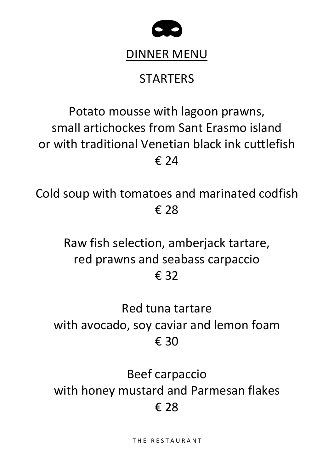

#### DINNER MENU

## **STARTERS**

# Potato mousse with lagoon prawns, small artichockes from Sant Erasmo island or with traditional Venetian black ink cuttlefish € 24

Cold soup with tomatoes and marinated codfish € 28

> Raw fish selection, amberjack tartare, red prawns and seabass carpaccio € 32

## Red tuna tartare with avocado, soy caviar and lemon foam € 30

Beef carpaccio with honey mustard and Parmesan flakes € 28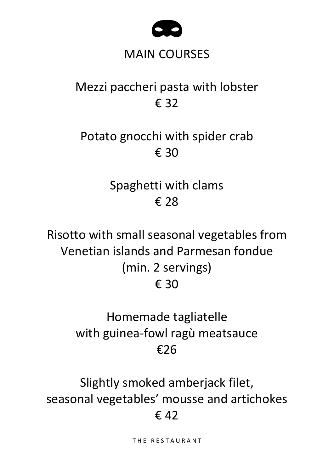

#### MAIN COURSES

## Mezzi paccheri pasta with lobster € 32

### Potato gnocchi with spider crab € 30

Spaghetti with clams € 28

Risotto with small seasonal vegetables from Venetian islands and Parmesan fondue (min. 2 servings) € 30

## Homemade tagliatelle with guinea-fowl ragù meatsauce €26

Slightly smoked amberjack filet, seasonal vegetables' mousse and artichokes  $£42$ 

THE RESTAURANT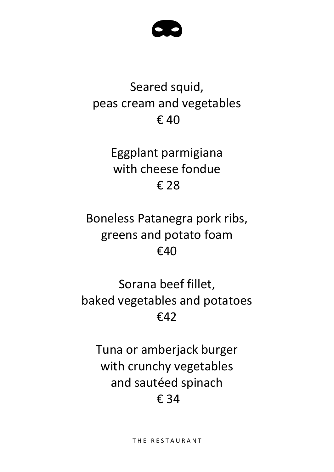

## Seared squid, peas cream and vegetables € 40

Eggplant parmigiana with cheese fondue € 28

Boneless Patanegra pork ribs, greens and potato foam €40

Sorana beef fillet, baked vegetables and potatoes €42

Tuna or amberjack burger with crunchy vegetables and sautéed spinach € 34